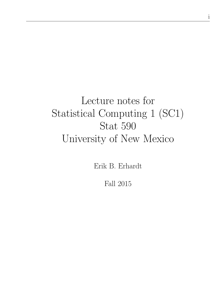# Lecture notes for Statistical Computing 1 (SC1) Stat 590 University of New Mexico

Erik B. Erhardt

Fall 2015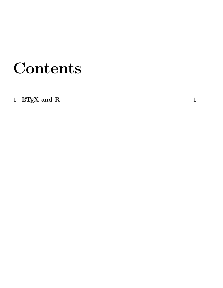# Contents

1  $\rm \, LFT_1K$  and R  $\rm \,$  1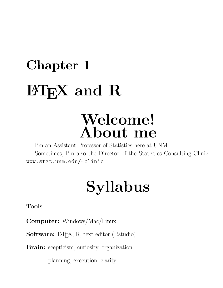# Chapter 1  $\operatorname{BTr} X$  and  $R$

# Welcome! About me

I'm an Assistant Professor of Statistics here at UNM. Sometimes, I'm also the Director of the Statistics Consulting Clinic: www.stat.unm.edu/~clinic

# Syllabus

Tools

Computer: Windows/Mac/Linux

Software: L<sup>AT</sup>EX, R, text editor (Rstudio)

**Brain:** scepticism, curiosity, organization

planning, execution, clarity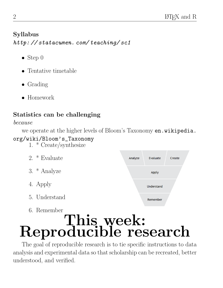# Syllabus

http: // statacumen. com/ teaching/ sc1

- Step  $0$
- Tentative timetable
- Grading
- Homework

# Statistics can be challenging

because

we operate at the higher levels of Bloom's Taxonomy en.wikipedia.

# org/wiki/Bloom's\_Taxonomy

1. \* Create/synthesize

| 2. $*$ Evaluate | Analyze | Evaluate          | Create |
|-----------------|---------|-------------------|--------|
| 3. $*$ Analyze  |         | Apply             |        |
| 4. Apply        |         | <b>Understand</b> |        |
| 5. Understand   |         | Remember          |        |

# 6. Remember This, week: Reproducible research

The goal of reproducible research is to tie specific instructions to data analysis and experimental data so that scholarship can be recreated, better understood, and verified.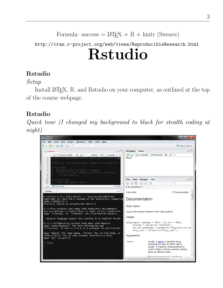```
Formula: success = \text{LATEX} + R + \text{knitr} (Sweave)
```
# http://cran.r-project.org/web/views/ReproducibleResearch.html Rstudio

# Rstudio

# Setup

Install LAT<sub>EX</sub>, R, and Rstudio on your computer, as outlined at the top of the course webpage.

# Rstudio

Quick tour (I changed my background to black for stealth coding at night)

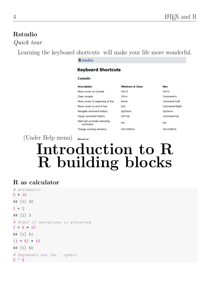# Rstudio

Quick tour

Learning the keyboard shortcuts will make your life more wonderful.

#### **Rstudio**

#### **Keyboard Shortcuts**

#### **Console**

| <b>Description</b>                       | <b>Windows &amp; Linux</b> | Mac           |
|------------------------------------------|----------------------------|---------------|
| Move cursor to Console                   | $Ctrl + 2$                 | $Ctrl + 2$    |
| Clear console                            | $Ctrl + I$                 | Command+L     |
| Move cursor to beginning of line         | Home                       | Command+Left  |
| Move cursor to end of line               | End                        | Command+Right |
| Navigate command history                 | Up/Down                    | Up/Down       |
| Popup command history                    | Ctrl+Up                    | Command+Up    |
| Interrupt currently executing<br>command | <b>Esc</b>                 | <b>Esc</b>    |
| Change working directory                 | Ctrl+Shift+K               | Ctrl+Shift+K  |

(Under Help menu)

# Introduction to R R building blocks

#### R as calculator

```
# Arithmetic
2 * 10## [1] 20
1 + 2## [1] 3
# Order of operations is preserved
1 + 5 * 10## [1] 51
(1 + 5) * 10## [1] 60
# Exponents use the ^ symbol
2 \hat{5}
```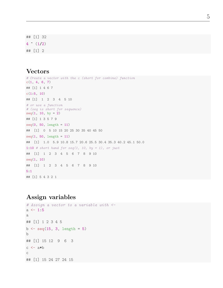## [1] 32  $4 \t(1/2)$ ## [1] 2

#### Vectors

```
# Create a vector with the c (short for combine) function
c(1, 4, 6, 7)## [1] 1 4 6 7
c(1:5, 10)## [1] 1 2 3 4 5 10
# or use a function
# (seq is short for sequence)
seq(1, 10, by = 2)## [1] 1 3 5 7 9
seq(0, 50, length = 11)
## [1] 0 5 10 15 20 25 30 35 40 45 50
seq(1, 50, length = 11)## [1] 1.0 5.9 10.8 15.7 20.6 25.5 30.4 35.3 40.2 45.1 50.0
1:10 # short hand for seq(1, 10, by = 1), or just
## [1] 1 2 3 4 5 6 7 8 9 10
seq(1, 10)
## [1] 1 2 3 4 5 6 7 8 9 10
5:1
## [1] 5 4 3 2 1
```
#### Assign variables

```
# Assign a vector to a variable with \leqa \le -1:5a
## [1] 1 2 3 4 5
b \leq - \text{seq}(15, 3, \text{length} = 5)b
## [1] 15 12 9 6 3
c \leftarrow a*b\mathsf C## [1] 15 24 27 24 15
```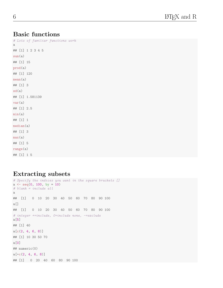#### Basic functions

# Lots of familiar functions work a ## [1] 1 2 3 4 5 sum(a) ## [1] 15 prod(a) ## [1] 120 mean(a) ## [1] 3 sd(a) ## [1] 1.581139 var(a) ## [1] 2.5  $min(a)$ ## [1] 1 median(a) ## [1] 3 max(a) ## [1] 5 range(a) ## [1] 1 5

#### Extracting subsets

```
# Specify the indices you want in the square brackets []
a \leftarrow seq(0, 100, by = 10)# blank = include all
a
## [1] 0 10 20 30 40 50 60 70 80 90 100
a[]
## [1] 0 10 20 30 40 50 60 70 80 90 100
# integer +=include, 0=include none, -=exclude
a[5]
## [1] 40
a[c(2, 4, 6, 8)]## [1] 10 30 50 70
a[0]
## numeric(0)
a[-c(2, 4, 6, 8)]## [1] 0 20 40 60 80 90 100
```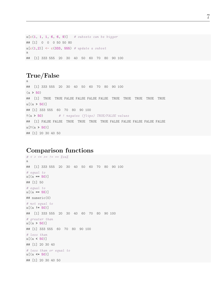```
a[c(1, 1, 1, 6, 6, 9)] # subsets can be bigger
## [1] 0 0 0 50 50 80
a[c(1,2)] <- c(333, 555) # update a subset
a
## [1] 333 555 20 30 40 50 60 70 80 90 100
```
#### True/False

a

## [1] 333 555 20 30 40 50 60 70 80 90 100  $(a > 50)$ ## [1] TRUE TRUE FALSE FALSE FALSE FALSE TRUE TRUE TRUE TRUE TRUE  $a[(a > 50)]$ ## [1] 333 555 60 70 80 90 100  $!(a > 50)$  # ! negates (flips) TRUE/FALSE values ## [1] FALSE FALSE TRUE TRUE TRUE TRUE FALSE FALSE FALSE FALSE FALSE  $a[!(a > 50)]$ ## [1] 20 30 40 50

#### Comparison functions

```
\# < > <= >= \; := \; := \; \%in^{\prime\prime}_{\;\;}a
## [1] 333 555 20 30 40 50 60 70 80 90 100
# equal to
a[(a == 50)]## [1] 50
# equal to
a[(a == 55)]## numeric(0)
# not equal to
a[(a := 50)]## [1] 333 555 20 30 40 60 70 80 90 100
# greater than
a[(a > 50)]## [1] 333 555 60 70 80 90 100
# less than
a[(a \; 50)]## [1] 20 30 40
# less than or equal to
a[(a \le 50)]## [1] 20 30 40 50
```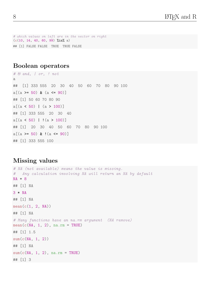# which values on left are in the vector on right  $(c(10, 14, 40, 60, 99)$  %in% a) ## [1] FALSE FALSE TRUE TRUE FALSE

#### Boolean operators

# & and, | or, ! not a ## [1] 333 555 20 30 40 50 60 70 80 90 100  $a[(a \rangle = 50) \& (a \langle = 90 \rangle]$ ## [1] 50 60 70 80 90  $a[(a \lt 50) \mid (a \gt 100)]$ ## [1] 333 555 20 30 40  $a[(a < 50) | (a > 100)]$ ## [1] 20 30 40 50 60 70 80 90 100  $a[(a \succ 50) & (a \succ 90)]$ ## [1] 333 555 100

#### Missing values

```
# NA (not available) means the value is missing.
# Any calculation involving NA will return an NA by default
NA + 8
## [1] NA
3 * NA
## [1] NA
mean(c(1, 2, NA))## [1] NA
# Many functions have an na.rm argument (NA remove)
mean(c(NA, 1, 2), na.rm = TRUE)## [1] 1.5
sum(c(NA, 1, 2))## [1] NA
sum(c(NA, 1, 2), na.rm = TRUE)## [1] 3
```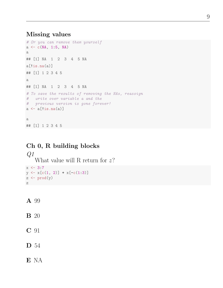#### Missing values

```
# Or you can remove them yourself
a \leftarrow c(NA, 1:5, NA)a
## [1] NA 1 2 3 4 5 NA
a[!is.na(a)]
## [1] 1 2 3 4 5
a
## [1] NA 1 2 3 4 5 NA
# To save the results of removing the NAs, reassign
# write over variable a and the
# previous version is gone forever!
a \leftarrow a[!is.na(a)]
a
## [1] 1 2 3 4 5
```
### Ch 0, R building blocks

 $Q1$ What value will R return for  $z$ ?  $x \le -3:7$  $y \leftarrow x[c(1, 2)] + x[-c(1:3)]$  $z \leftarrow \text{prod}(y)$ z

#### A 99

#### B 20

C 91

#### D 54

#### E NA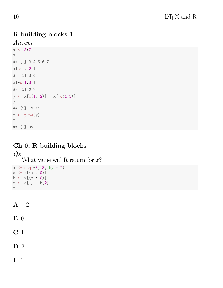### R building blocks 1

Answer

```
x \leftarrow 3:7x
## [1] 3 4 5 6 7
x[c(1, 2)]## [1] 3 4
x[-c(1:3)]## [1] 6 7
y \leftarrow x[c(1, 2)] + x[-c(1:3)]y
## [1] 9 11
z \leftarrow \text{prod}(y)z
## [1] 99
```
# Ch 0, R building blocks

 $Q2$ What value will R return for  $z$ ?  $x \leftarrow \text{seq}(-3, 3, \text{ by } = 2)$  $a \leftarrow x[(x > 0)]$  $b \leftarrow x[(x \leftarrow 0)]$  $z \leftarrow a[1] - b[2]$ 

 $A -2$ 

z

 $\mathbf{B}$  0

C 1

D 2

E 6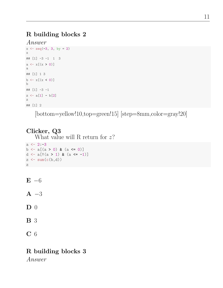# R building blocks 2

```
Answer
x \leftarrow \text{seq}(-3, 3, \text{ by } = 2)x
## [1] -3 -1 1 3
a \leftarrow x[(x > 0)]a
## [1] 1 3
b \leftarrow x[(x \leftarrow 0)]b
## [1] -3 -1
z \leftarrow a[1] - b[2]z
## [1] 2
```
[bottom=yellow!10,top=green!15] [step=8mm,color=gray!20]

# Clicker, Q3

What value will R return for  $z$ ?

```
a \leftarrow 2:-3b \leftarrow a[(a > 0) & (a \leftarrow 0)]d <- a[!(a > 1) & (a < -1)]z \leftarrow \text{sum}(c(b,d))z
```

```
E - 6
```
 $A - 3$ 

 $\mathbf{D}$  0

B 3

C 6

# R building blocks 3

Answer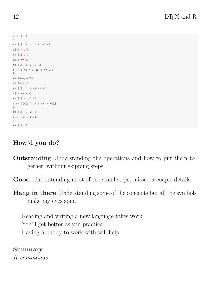```
a \leftarrow 2:-3a
## [1] 2 1 0 -1 -2 -3
a[(a > 0)]## [1] 2 1
a[(a \le 0)]\# [1] 0 -1 -2 -3
b \leftarrow a[(a > 0) & (a < 0)]b
## integer(0)
a[!(a > 1)]## [1] 1 0 -1 -2 -3
a[(a \le -1)]## [1] -1 -2 -3
d \leftarrow a[!(a > 1) & (a \leftarrow -1)]
d
## [1] -1 -2 -3
z \leftarrow \text{sum}(c(b,d))z
## [1] -6
```
# How'd you do?

- Outstanding Understanding the operations and how to put them together, without skipping steps.
- Good Understanding most of the small steps, missed a couple details.
- **Hang in there** Understanding some of the concepts but all the symbols make my eyes spin.

Reading and writing a new language takes work. You'll get better as you practice. Having a buddy to work with will help.

#### Summary

R commands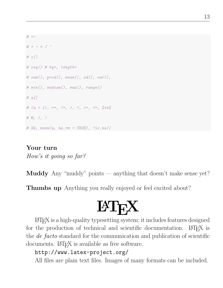```
# <-# + - * / \hat{ }# c()# seg() # by=, length=
# sum(), prod(), mean(), sd(), var(),# min(), median(), max(), range()
# a[]
# (a > 1), ==, !=, >, <, >=, <=, %in%
# &, |, !
# NA, mean(a, na.rm = TRUE), lis . na()
```
# Your turn

How's it going so far?

**Muddy** Any "muddy" points — anything that doesn't make sense yet?

Thumbs up Anything you really enjoyed or feel excited about?

# **LAT<sub>F</sub>X**

LATEX is a high-quality typesetting system; it includes features designed for the production of technical and scientific documentation. LAT<sub>EX</sub> is the *de facto* standard for the communication and publication of scientific documents. LATEX is available as free software.

# http://www.latex-project.org/

All files are plain text files. Images of many formats can be included.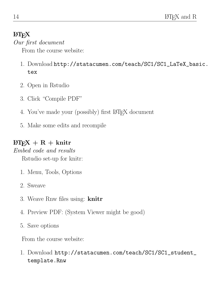# **LAT<sub>E</sub>X**

### Our first document

From the course website:

- 1. Download http://statacumen.com/teach/SC1/SC1\_LaTeX\_basic. tex
- 2. Open in Rstudio
- 3. Click "Compile PDF"
- 4. You've made your (possibly) first LAT<sub>EX</sub> document
- 5. Make some edits and recompile

# $\text{LFT}_F X + R + \text{knitr}$

### Embed code and results

Rstudio set-up for knitr:

- 1. Menu, Tools, Options
- 2. Sweave
- 3. Weave Rnw files using: knitr
- 4. Preview PDF: (System Viewer might be good)
- 5. Save options

From the course website:

1. Download http://statacumen.com/teach/SC1/SC1\_student\_ template.Rnw